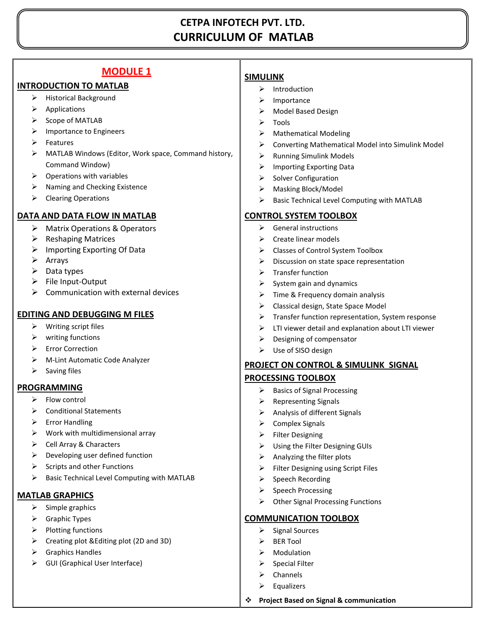# **CETPA INFOTECH PVT. LTD. CURRICULUM OF MATLAB**

# **MODULE 1**

#### **INTRODUCTION TO MATLAB**

- $\triangleright$  Historical Background
- $\triangleright$  Applications
- $\triangleright$  Scope of MATLAB
- $\triangleright$  Importance to Engineers
- $\triangleright$  Features
- MATLAB Windows (Editor, Work space, Command history, Command Window)
- $\triangleright$  Operations with variables
- $\triangleright$  Naming and Checking Existence
- $\triangleright$  Clearing Operations

#### **DATA AND DATA FLOW IN MATLAB**

- Matrix Operations & Operators
- $\triangleright$  Reshaping Matrices
- $\triangleright$  Importing Exporting Of Data
- $\triangleright$  Arrays
- $\triangleright$  Data types
- $\triangleright$  File Input-Output
- $\triangleright$  Communication with external devices

#### **EDITING AND DEBUGGING M FILES**

- $\triangleright$  Writing script files
- $\triangleright$  writing functions
- ▶ Error Correction
- M-Lint Automatic Code Analyzer
- $\triangleright$  Saving files

#### **PROGRAMMING**

- $\triangleright$  Flow control
- **▶** Conditional Statements
- $\triangleright$  Error Handling
- $\triangleright$  Work with multidimensional array
- $\triangleright$  Cell Array & Characters
- $\triangleright$  Developing user defined function
- $\triangleright$  Scripts and other Functions
- Basic Technical Level Computing with MATLAB

#### **MATLAB GRAPHICS**

- $\triangleright$  Simple graphics
- $\triangleright$  Graphic Types
- $\triangleright$  Plotting functions
- $\triangleright$  Creating plot & Editing plot (2D and 3D)
- $\triangleright$  Graphics Handles
- $\triangleright$  GUI (Graphical User Interface)

#### **SIMULINK**

- $\triangleright$  Introduction
- $\blacktriangleright$  Importance
- > Model Based Design
- $\triangleright$  Tools
- $\triangleright$  Mathematical Modeling
- Converting Mathematical Model into Simulink Model
- $\triangleright$  Running Simulink Models
- $\triangleright$  Importing Exporting Data
- $\triangleright$  Solver Configuration
- Masking Block/Model
- Basic Technical Level Computing with MATLAB

#### **CONTROL SYSTEM TOOLBOX**

- $\triangleright$  General instructions
- $\triangleright$  Create linear models
- Classes of Control System Toolbox
- $\triangleright$  Discussion on state space representation
- $\triangleright$  Transfer function
- $\triangleright$  System gain and dynamics
- $\triangleright$  Time & Frequency domain analysis
- $\triangleright$  Classical design, State Space Model
- $\triangleright$  Transfer function representation, System response
- $\triangleright$  LTI viewer detail and explanation about LTI viewer
- $\triangleright$  Designing of compensator
- Use of SISO design

## **PROJECT ON CONTROL & SIMULINK SIGNAL PROCESSING TOOLBOX**

- $\triangleright$  Basics of Signal Processing
- $\triangleright$  Representing Signals
- $\triangleright$  Analysis of different Signals
- $\triangleright$  Complex Signals
- $\triangleright$  Filter Designing
- $\triangleright$  Using the Filter Designing GUIs
- $\triangleright$  Analyzing the filter plots
- $\triangleright$  Filter Designing using Script Files
- $\triangleright$  Speech Recording
- $\triangleright$  Speech Processing
- $\triangleright$  Other Signal Processing Functions

#### **COMMUNICATION TOOLBOX**

- $\triangleright$  Signal Sources
- $\triangleright$  BER Tool
- $\triangleright$  Modulation
- $\triangleright$  Special Filter
- $\triangleright$  Channels
- $\triangleright$  Equalizers
- **Project Based on Signal & communication**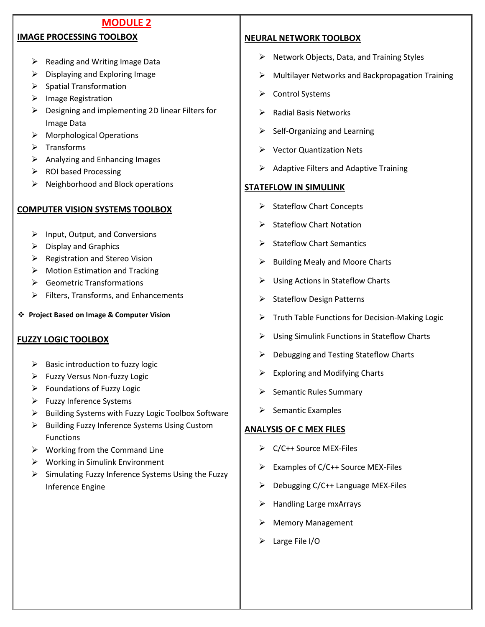## **MODULE 2**

### **IMAGE PROCESSING TOOLBOX**

- $\triangleright$  Reading and Writing Image Data
- $\triangleright$  Displaying and Exploring Image
- $\triangleright$  Spatial Transformation
- $\triangleright$  Image Registration
- $\triangleright$  Designing and implementing 2D linear Filters for Image Data
- $\triangleright$  Morphological Operations
- $\triangleright$  Transforms
- $\triangleright$  Analyzing and Enhancing Images
- $\triangleright$  ROI based Processing
- $\triangleright$  Neighborhood and Block operations

### **COMPUTER VISION SYSTEMS TOOLBOX**

- $\triangleright$  Input, Output, and Conversions
- $\triangleright$  Display and Graphics
- $\triangleright$  Registration and Stereo Vision
- $\triangleright$  Motion Estimation and Tracking
- ▶ Geometric Transformations
- $\triangleright$  Filters, Transforms, and Enhancements

**Project Based on Image & Computer Vision** 

## **FUZZY LOGIC TOOLBOX**

- $\triangleright$  Basic introduction to fuzzy logic
- Fuzzy Versus Non-fuzzy Logic
- $\triangleright$  Foundations of Fuzzy Logic
- $\triangleright$  Fuzzy Inference Systems
- $\triangleright$  Building Systems with Fuzzy Logic Toolbox Software
- $\triangleright$  Building Fuzzy Inference Systems Using Custom Functions
- $\triangleright$  Working from the Command Line
- $\triangleright$  Working in Simulink Environment
- $\triangleright$  Simulating Fuzzy Inference Systems Using the Fuzzy Inference Engine

## **NEURAL NETWORK TOOLBOX**

- $\triangleright$  Network Objects, Data, and Training Styles
- $\triangleright$  Multilayer Networks and Backpropagation Training
- Control Systems
- $\triangleright$  Radial Basis Networks
- $\triangleright$  Self-Organizing and Learning
- Vector Quantization Nets
- $\triangleright$  Adaptive Filters and Adaptive Training

#### **STATEFLOW IN SIMULINK**

- $\triangleright$  Stateflow Chart Concepts
- $\triangleright$  Stateflow Chart Notation
- $\triangleright$  Stateflow Chart Semantics
- $\triangleright$  Building Mealy and Moore Charts
- Using Actions in Stateflow Charts
- $\triangleright$  Stateflow Design Patterns
- $\triangleright$  Truth Table Functions for Decision-Making Logic
- $\triangleright$  Using Simulink Functions in Stateflow Charts
- $\triangleright$  Debugging and Testing Stateflow Charts
- $\triangleright$  Exploring and Modifying Charts
- $\triangleright$  Semantic Rules Summary
- $\triangleright$  Semantic Examples

# **ANALYSIS OF C MEX FILES**

- ▶ C/C++ Source MEX-Files
- $\triangleright$  Examples of C/C++ Source MEX-Files
- $\triangleright$  Debugging C/C++ Language MEX-Files
- $\triangleright$  Handling Large mxArrays
- > Memory Management
- Large File I/O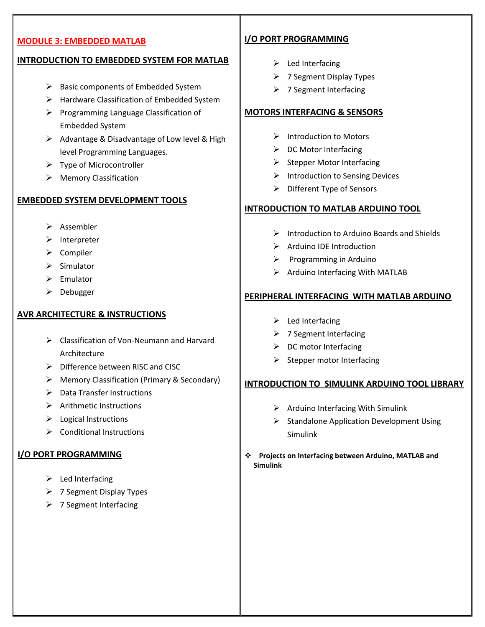#### **MODULE 3: EMBEDDED MATLAB**

#### **INTRODUCTION TO EMBEDDED SYSTEM FOR MATLAB**

- $\triangleright$  Basic components of Embedded System
- > Hardware Classification of Embedded System
- $\triangleright$  Programming Language Classification of Embedded System
- $\triangleright$  Advantage & Disadvantage of Low level & High level Programming Languages.
- $\triangleright$  Type of Microcontroller
- Memory Classification

### **EMBEDDED SYSTEM DEVELOPMENT TOOLS**

- $\triangleright$  Assembler
- $\triangleright$  Interpreter
- $\triangleright$  Compiler
- $\triangleright$  Simulator
- $\triangleright$  Emulator
- $\triangleright$  Debugger

#### **AVR ARCHITECTURE & INSTRUCTIONS**

- Classification of Von-Neumann and Harvard Architecture
- $\triangleright$  Difference between RISC and CISC
- Memory Classification (Primary & Secondary)
- $\triangleright$  Data Transfer Instructions
- $\triangleright$  Arithmetic Instructions
- $\triangleright$  Logical Instructions
- $\triangleright$  Conditional Instructions

## **I/O PORT PROGRAMMING**

- $\blacktriangleright$  Led Interfacing
- $\triangleright$  7 Segment Display Types
- > 7 Segment Interfacing

## **I/O PORT PROGRAMMING**

- $\blacktriangleright$  Led Interfacing
- $\triangleright$  7 Segment Display Types
- $\triangleright$  7 Segment Interfacing

#### **MOTORS INTERFACING & SENSORS**

- $\triangleright$  Introduction to Motors
- $\triangleright$  DC Motor Interfacing
- $\triangleright$  Stepper Motor Interfacing
- $\triangleright$  Introduction to Sensing Devices
- $\triangleright$  Different Type of Sensors

#### **INTRODUCTION TO MATLAB ARDUINO TOOL**

- $\triangleright$  Introduction to Arduino Boards and Shields
- $\triangleright$  Arduino IDE Introduction
- $\triangleright$  Programming in Arduino
- $\triangleright$  Arduino Interfacing With MATLAB

#### **PERIPHERAL INTERFACING WITH MATLAB ARDUINO**

- $\blacktriangleright$  Led Interfacing
- $\triangleright$  7 Segment Interfacing
- $\triangleright$  DC motor Interfacing
- $\triangleright$  Stepper motor Interfacing

#### **INTRODUCTION TO SIMULINK ARDUINO TOOL LIBRARY**

- $\triangleright$  Arduino Interfacing With Simulink
- $\triangleright$  Standalone Application Development Using Simulink
- **Projects on Interfacing between Arduino, MATLAB and Simulink**